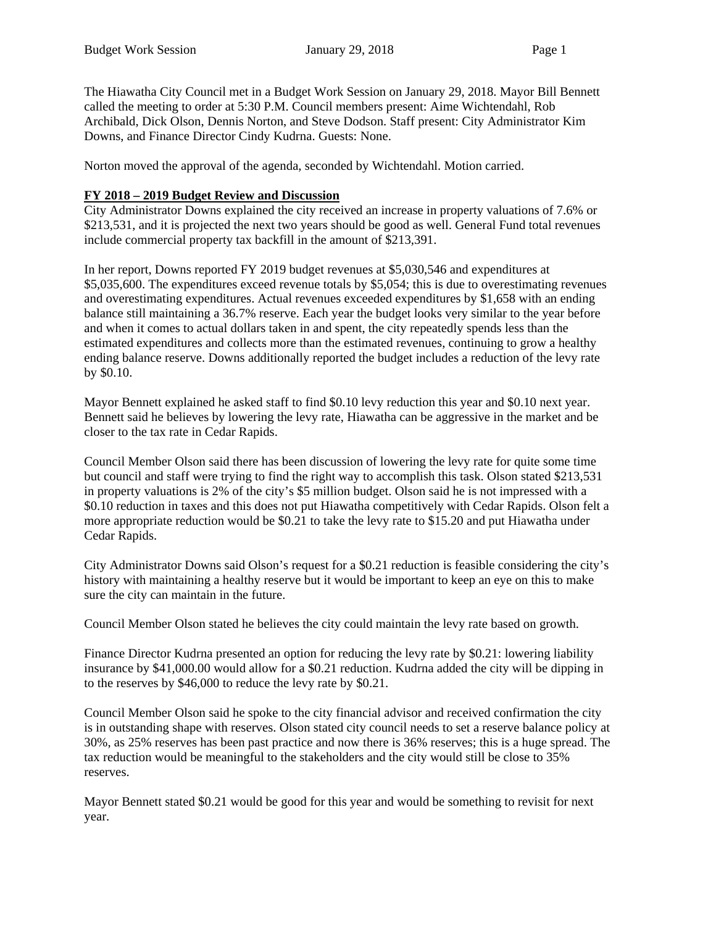The Hiawatha City Council met in a Budget Work Session on January 29, 2018. Mayor Bill Bennett called the meeting to order at 5:30 P.M. Council members present: Aime Wichtendahl, Rob Archibald, Dick Olson, Dennis Norton, and Steve Dodson. Staff present: City Administrator Kim Downs, and Finance Director Cindy Kudrna. Guests: None.

Norton moved the approval of the agenda, seconded by Wichtendahl. Motion carried.

## **FY 2018 – 2019 Budget Review and Discussion**

City Administrator Downs explained the city received an increase in property valuations of 7.6% or \$213,531, and it is projected the next two years should be good as well. General Fund total revenues include commercial property tax backfill in the amount of \$213,391.

In her report, Downs reported FY 2019 budget revenues at \$5,030,546 and expenditures at \$5,035,600. The expenditures exceed revenue totals by \$5,054; this is due to overestimating revenues and overestimating expenditures. Actual revenues exceeded expenditures by \$1,658 with an ending balance still maintaining a 36.7% reserve. Each year the budget looks very similar to the year before and when it comes to actual dollars taken in and spent, the city repeatedly spends less than the estimated expenditures and collects more than the estimated revenues, continuing to grow a healthy ending balance reserve. Downs additionally reported the budget includes a reduction of the levy rate by \$0.10.

Mayor Bennett explained he asked staff to find \$0.10 levy reduction this year and \$0.10 next year. Bennett said he believes by lowering the levy rate, Hiawatha can be aggressive in the market and be closer to the tax rate in Cedar Rapids.

Council Member Olson said there has been discussion of lowering the levy rate for quite some time but council and staff were trying to find the right way to accomplish this task. Olson stated \$213,531 in property valuations is 2% of the city's \$5 million budget. Olson said he is not impressed with a \$0.10 reduction in taxes and this does not put Hiawatha competitively with Cedar Rapids. Olson felt a more appropriate reduction would be \$0.21 to take the levy rate to \$15.20 and put Hiawatha under Cedar Rapids.

City Administrator Downs said Olson's request for a \$0.21 reduction is feasible considering the city's history with maintaining a healthy reserve but it would be important to keep an eye on this to make sure the city can maintain in the future.

Council Member Olson stated he believes the city could maintain the levy rate based on growth.

Finance Director Kudrna presented an option for reducing the levy rate by \$0.21: lowering liability insurance by \$41,000.00 would allow for a \$0.21 reduction. Kudrna added the city will be dipping in to the reserves by \$46,000 to reduce the levy rate by \$0.21.

Council Member Olson said he spoke to the city financial advisor and received confirmation the city is in outstanding shape with reserves. Olson stated city council needs to set a reserve balance policy at 30%, as 25% reserves has been past practice and now there is 36% reserves; this is a huge spread. The tax reduction would be meaningful to the stakeholders and the city would still be close to 35% reserves.

Mayor Bennett stated \$0.21 would be good for this year and would be something to revisit for next year.